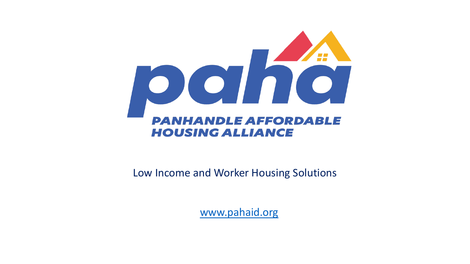

### Low Income and Worker Housing Solutions

[www.pahaid.org](http://www.pahaid.org/)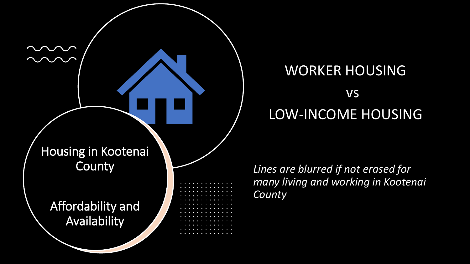

## WORKER HOUSING vs LOW-INCOME HOUSING

*Lines are blurred if not erased for many living and working in Kootenai County*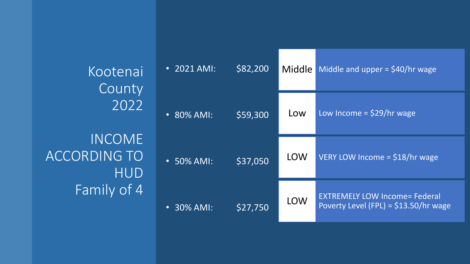Kootenai **County** 2022 INCOME ACCORDING TO HUD Family of 4

| $\cdot$ 2021 AMI: | \$82,200 | Middle     | Middle and upper = $$40/hr$ wage                                               |
|-------------------|----------|------------|--------------------------------------------------------------------------------|
| $\cdot$ 80% AMI:  | \$59,300 | Low        | Low Income = $$29/hr$ wage                                                     |
| $\cdot$ 50% AMI:  | \$37,050 | LOW        | VERY LOW Income = \$18/hr wage                                                 |
| $\cdot$ 30% AMI:  | \$27,750 | <b>LOW</b> | <b>EXTREMELY LOW Income= Federal</b><br>Poverty Level (FPL) = $$13.50/hr$ wage |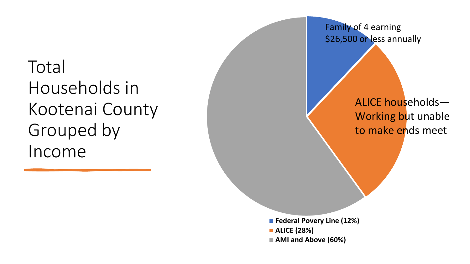# **Total** Households in Kootenai County Grouped by Income

Family of 4 earning \$26,500 or less annually

## ALICE households— Working but unable to make ends meet

**Federal Povery Line (12%) ALICE (28%) AMI and Above (60%)**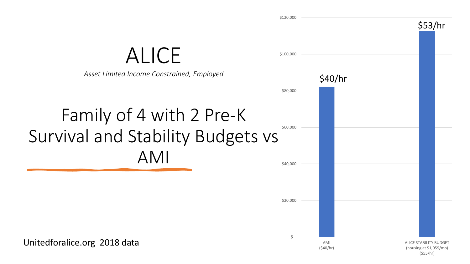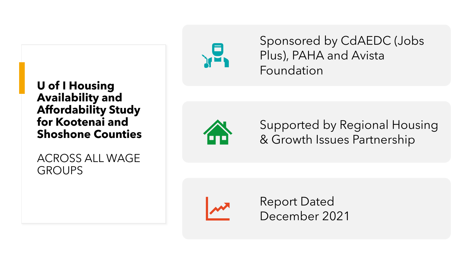

ACROSS ALL WAGE GROUPS



Sponsored by CdAEDC (Jobs Plus), PAHA and Avista Foundation



Supported by Regional Housing & Growth Issues Partnership



Report Dated December 2021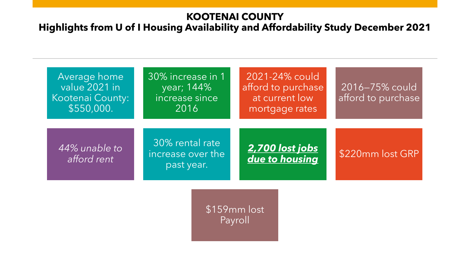### **KOOTENAI COUNTY**

### **Highlights from U of I Housing Availability and Affordability Study December 2021**



\$159mm lost Payroll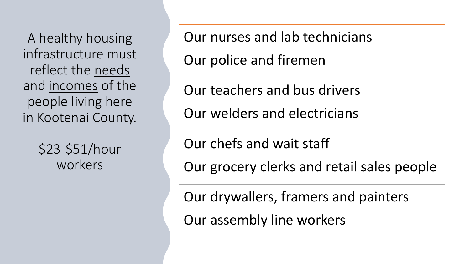A healthy housing infrastructure must reflect the needs and incomes of the people living here in Kootenai County.

> \$23-\$51/hour workers

Our nurses and lab technicians Our police and firemen

Our teachers and bus drivers Our welders and electricians

Our chefs and wait staff

Our grocery clerks and retail sales people

Our drywallers, framers and painters

Our assembly line workers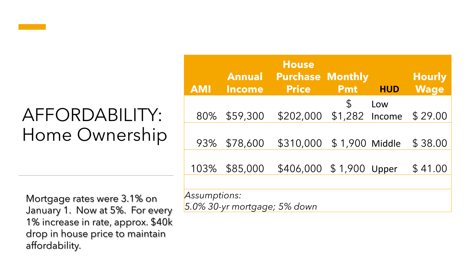# AFFORDABILITY: Home Ownership

Mortgage rates were 3.1% on January 1. Now at 5%. For every 1% increase in rate, approx. \$40k drop in house price to maintain affordability.

*5.0% 30-yr mortgage; 5% down*

| <b>AMI</b>                            | <b>Annual</b><br><b>Income</b> | <b>House</b><br><b>Purchase Monthly</b><br><b>Price</b> | <b>Pmt</b>    | <b>HUD</b> | <b>Hourly</b><br><b>Wage</b> |  |  |
|---------------------------------------|--------------------------------|---------------------------------------------------------|---------------|------------|------------------------------|--|--|
|                                       |                                |                                                         |               |            |                              |  |  |
|                                       |                                |                                                         | $\mathcal{L}$ | Low        |                              |  |  |
| 80%                                   | \$59,300                       | \$202,000 \$1,282 Income                                |               |            | \$29.00                      |  |  |
|                                       |                                |                                                         |               |            |                              |  |  |
|                                       | 93% \$78,600                   | \$310,000 \$1,900 Middle                                |               |            | \$38.00                      |  |  |
|                                       |                                |                                                         |               |            |                              |  |  |
|                                       |                                |                                                         |               |            |                              |  |  |
| 103%                                  | \$85,000                       | \$406,000 \$1,900 Upper                                 |               |            | \$41.00                      |  |  |
|                                       |                                |                                                         |               |            |                              |  |  |
| Assumptions:                          |                                |                                                         |               |            |                              |  |  |
| $5.0\%$ 30- $\nu$ r mortagae: 5% down |                                |                                                         |               |            |                              |  |  |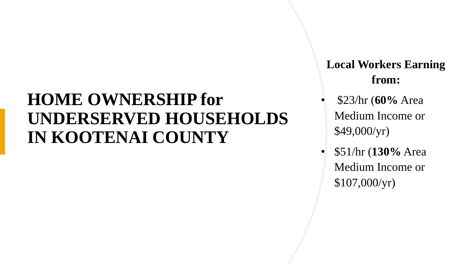## **HOME OWNERSHIP for UNDERSERVED HOUSEHOLDS IN KOOTENAI COUNTY**

**Local Workers Earning from:**

- \$23/hr (**60%** Area Medium Income or \$49,000/yr)
- \$51/hr (**130%** Area Medium Income or \$107,000/yr)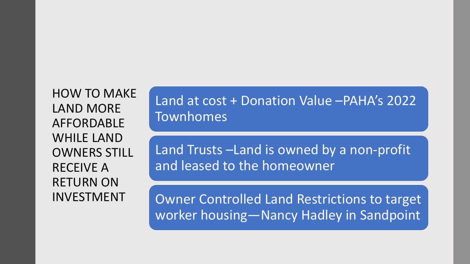HOW TO MAKE LAND MORE AFFORDABLE WHILE LAND OWNERS STILL RECEIVE A RETURN ON INVESTMENT

Land at cost + Donation Value –PAHA's 2022 Townhomes

Land Trusts –Land is owned by a non-profit and leased to the homeowner

Owner Controlled Land Restrictions to target worker housing—Nancy Hadley in Sandpoint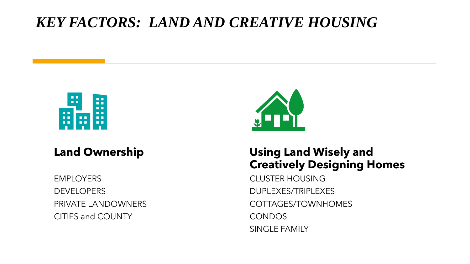## *KEY FACTORS: LAND AND CREATIVE HOUSING*



### **Land Ownership**

**EMPLOYERS DEVELOPERS** PRIVATE LANDOWNERS CITIES and COUNTY



### **Using Land Wisely and Creatively Designing Homes**

CLUSTER HOUSING DUPLEXES/TRIPLEXES COTTAGES/TOWNHOMES CONDOS SINGLE FAMILY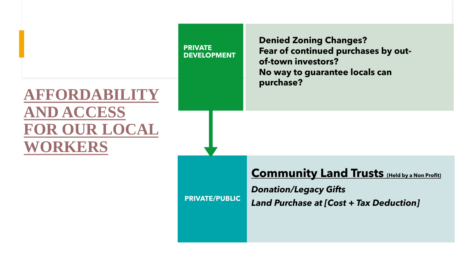#### **PRIVATE DEVELOPMENT**

## **AFFORDABILITY AND ACCESS FOR OUR LOCAL WORKERS**

**Denied Zoning Changes? Fear of continued purchases by outof-town investors? No way to guarantee locals can purchase?**

### **<u>Community Land Trusts</u> (Held by a Non Profit)**

*Donation/Legacy Gifts Land Purchase at [Cost + Tax Deduction]* 

**PRIVATE/PUBLIC**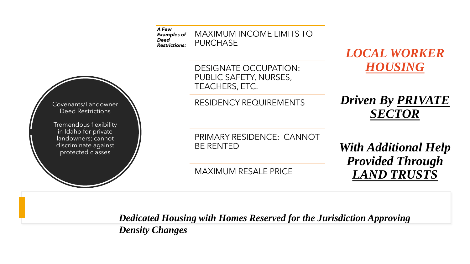

*Dedicated Housing with Homes Reserved for the Jurisdiction Approving Density Changes*